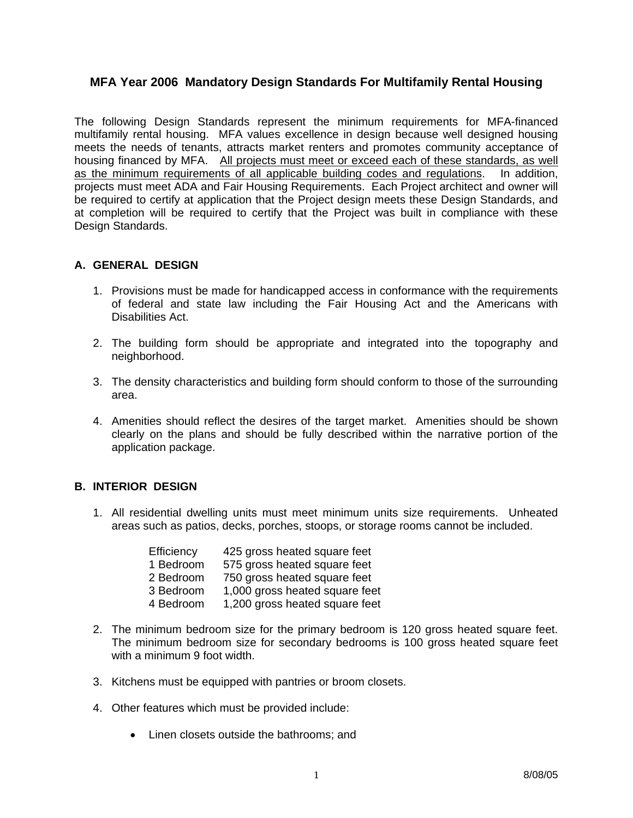## **MFA Year 2006 Mandatory Design Standards For Multifamily Rental Housing**

The following Design Standards represent the minimum requirements for MFA-financed multifamily rental housing. MFA values excellence in design because well designed housing meets the needs of tenants, attracts market renters and promotes community acceptance of housing financed by MFA. All projects must meet or exceed each of these standards, as well as the minimum requirements of all applicable building codes and regulations. In addition, projects must meet ADA and Fair Housing Requirements. Each Project architect and owner will be required to certify at application that the Project design meets these Design Standards, and at completion will be required to certify that the Project was built in compliance with these Design Standards.

### **A. GENERAL DESIGN**

- 1. Provisions must be made for handicapped access in conformance with the requirements of federal and state law including the Fair Housing Act and the Americans with Disabilities Act.
- 2. The building form should be appropriate and integrated into the topography and neighborhood.
- 3. The density characteristics and building form should conform to those of the surrounding area.
- 4. Amenities should reflect the desires of the target market. Amenities should be shown clearly on the plans and should be fully described within the narrative portion of the application package.

#### **B. INTERIOR DESIGN**

1. All residential dwelling units must meet minimum units size requirements. Unheated areas such as patios, decks, porches, stoops, or storage rooms cannot be included.

| Efficiency | 425 gross heated square feet   |
|------------|--------------------------------|
| 1 Bedroom  | 575 gross heated square feet   |
| 2 Bedroom  | 750 gross heated square feet   |
| 3 Bedroom  | 1,000 gross heated square feet |
| 4 Bedroom  | 1,200 gross heated square feet |

- 2. The minimum bedroom size for the primary bedroom is 120 gross heated square feet. The minimum bedroom size for secondary bedrooms is 100 gross heated square feet with a minimum 9 foot width.
- 3. Kitchens must be equipped with pantries or broom closets.
- 4. Other features which must be provided include:
	- Linen closets outside the bathrooms; and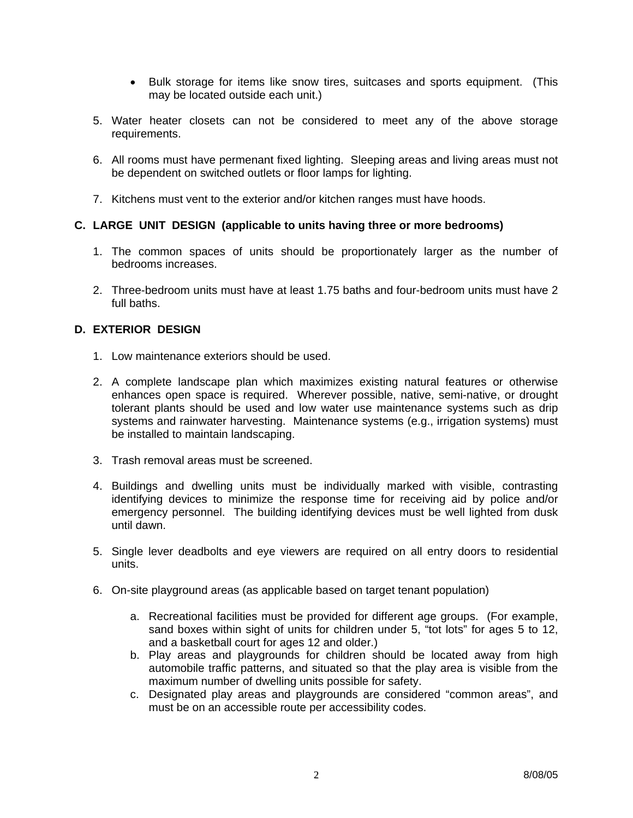- Bulk storage for items like snow tires, suitcases and sports equipment. (This may be located outside each unit.)
- 5. Water heater closets can not be considered to meet any of the above storage requirements.
- 6. All rooms must have permenant fixed lighting. Sleeping areas and living areas must not be dependent on switched outlets or floor lamps for lighting.
- 7. Kitchens must vent to the exterior and/or kitchen ranges must have hoods.

### **C. LARGE UNIT DESIGN (applicable to units having three or more bedrooms)**

- 1. The common spaces of units should be proportionately larger as the number of bedrooms increases.
- 2. Three-bedroom units must have at least 1.75 baths and four-bedroom units must have 2 full baths.

### **D. EXTERIOR DESIGN**

- 1. Low maintenance exteriors should be used.
- 2. A complete landscape plan which maximizes existing natural features or otherwise enhances open space is required. Wherever possible, native, semi-native, or drought tolerant plants should be used and low water use maintenance systems such as drip systems and rainwater harvesting. Maintenance systems (e.g., irrigation systems) must be installed to maintain landscaping.
- 3. Trash removal areas must be screened.
- 4. Buildings and dwelling units must be individually marked with visible, contrasting identifying devices to minimize the response time for receiving aid by police and/or emergency personnel. The building identifying devices must be well lighted from dusk until dawn.
- 5. Single lever deadbolts and eye viewers are required on all entry doors to residential units.
- 6. On-site playground areas (as applicable based on target tenant population)
	- a. Recreational facilities must be provided for different age groups. (For example, sand boxes within sight of units for children under 5, "tot lots" for ages 5 to 12, and a basketball court for ages 12 and older.)
	- b. Play areas and playgrounds for children should be located away from high automobile traffic patterns, and situated so that the play area is visible from the maximum number of dwelling units possible for safety.
	- c. Designated play areas and playgrounds are considered "common areas", and must be on an accessible route per accessibility codes.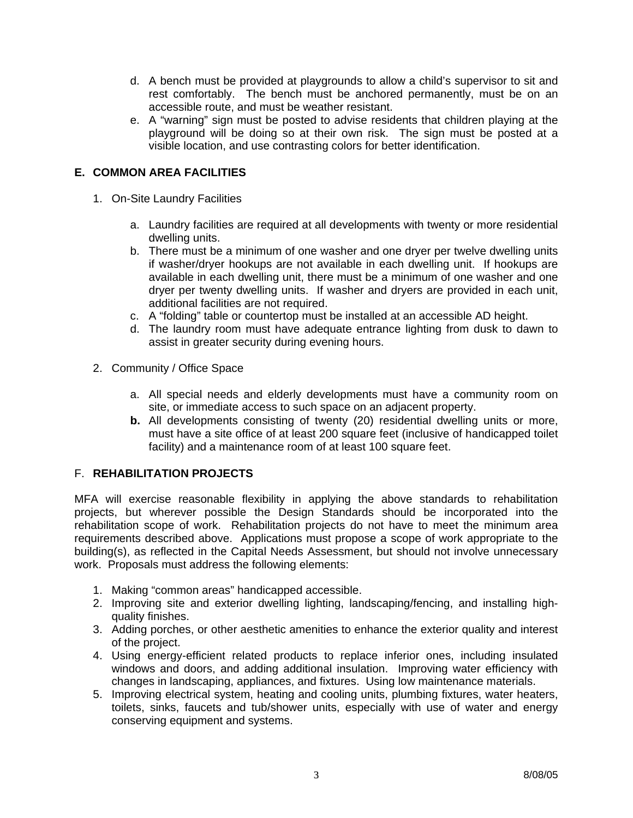- d. A bench must be provided at playgrounds to allow a child's supervisor to sit and rest comfortably. The bench must be anchored permanently, must be on an accessible route, and must be weather resistant.
- e. A "warning" sign must be posted to advise residents that children playing at the playground will be doing so at their own risk. The sign must be posted at a visible location, and use contrasting colors for better identification.

# **E. COMMON AREA FACILITIES**

- 1. On-Site Laundry Facilities
	- a. Laundry facilities are required at all developments with twenty or more residential dwelling units.
	- b. There must be a minimum of one washer and one dryer per twelve dwelling units if washer/dryer hookups are not available in each dwelling unit. If hookups are available in each dwelling unit, there must be a minimum of one washer and one dryer per twenty dwelling units. If washer and dryers are provided in each unit, additional facilities are not required.
	- c. A "folding" table or countertop must be installed at an accessible AD height.
	- d. The laundry room must have adequate entrance lighting from dusk to dawn to assist in greater security during evening hours.
- 2. Community / Office Space
	- a. All special needs and elderly developments must have a community room on site, or immediate access to such space on an adjacent property.
	- **b.** All developments consisting of twenty (20) residential dwelling units or more, must have a site office of at least 200 square feet (inclusive of handicapped toilet facility) and a maintenance room of at least 100 square feet.

## F. **REHABILITATION PROJECTS**

MFA will exercise reasonable flexibility in applying the above standards to rehabilitation projects, but wherever possible the Design Standards should be incorporated into the rehabilitation scope of work. Rehabilitation projects do not have to meet the minimum area requirements described above. Applications must propose a scope of work appropriate to the building(s), as reflected in the Capital Needs Assessment, but should not involve unnecessary work. Proposals must address the following elements:

- 1. Making "common areas" handicapped accessible.
- 2. Improving site and exterior dwelling lighting, landscaping/fencing, and installing highquality finishes.
- 3. Adding porches, or other aesthetic amenities to enhance the exterior quality and interest of the project.
- 4. Using energy-efficient related products to replace inferior ones, including insulated windows and doors, and adding additional insulation. Improving water efficiency with changes in landscaping, appliances, and fixtures. Using low maintenance materials.
- 5. Improving electrical system, heating and cooling units, plumbing fixtures, water heaters, toilets, sinks, faucets and tub/shower units, especially with use of water and energy conserving equipment and systems.